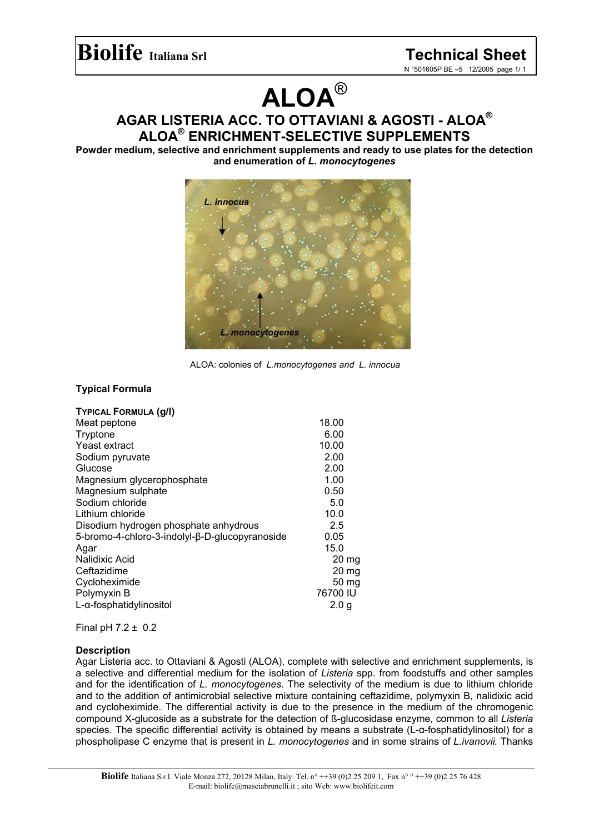# **ALOA**®

**AGAR LISTERIA ACC. TO OTTAVIANI & AGOSTI - ALOA® ALOA® ENRICHMENT-SELECTIVE SUPPLEMENTS** 

**Powder medium, selective and enrichment supplements and ready to use plates for the detection and enumeration of** *L. monocytogenes* 



ALOA: colonies of *L.monocytogenes and L. innocua*

# **Typical Formula**

|                                                | 18.00            |
|------------------------------------------------|------------------|
| Meat peptone                                   |                  |
| Tryptone                                       | 6.00             |
| Yeast extract                                  | 10.00            |
| Sodium pyruvate                                | 2.00             |
| Glucose                                        | 2.00             |
| Magnesium glycerophosphate                     | 1.00             |
| Magnesium sulphate                             | 0.50             |
| Sodium chloride                                | 5.0              |
| Lithium chloride                               | 10.0             |
| Disodium hydrogen phosphate anhydrous          | 2.5              |
| 5-bromo-4-chloro-3-indolyl-β-D-glucopyranoside | 0.05             |
| Agar                                           | 15.0             |
| Nalidixic Acid                                 | $20 \text{ mg}$  |
| Ceftazidime                                    | $20 \text{ mg}$  |
| Cycloheximide                                  | 50 mg            |
| Polymyxin B                                    | 76700 IU         |
| L-α-fosphatidylinositol                        | 2.0 <sub>q</sub> |

Final pH 7.2 ± 0.2

## **Description**

Agar Listeria acc. to Ottaviani & Agosti (ALOA), complete with selective and enrichment supplements, is a selective and differential medium for the isolation of *Listeria* spp. from foodstuffs and other samples and for the identification of *L. monocytogenes*. The selectivity of the medium is due to lithium chloride and to the addition of antimicrobial selective mixture containing ceftazidime, polymyxin B, nalidixic acid and cycloheximide. The differential activity is due to the presence in the medium of the chromogenic compound X-glucoside as a substrate for the detection of ß-glucosidase enzyme, common to all *Listeria* species. The specific differential activity is obtained by means a substrate (L-α-fosphatidylinositol) for a phospholipase C enzyme that is present in *L. monocytogenes* and in some strains of *L.ivanovii.* Thanks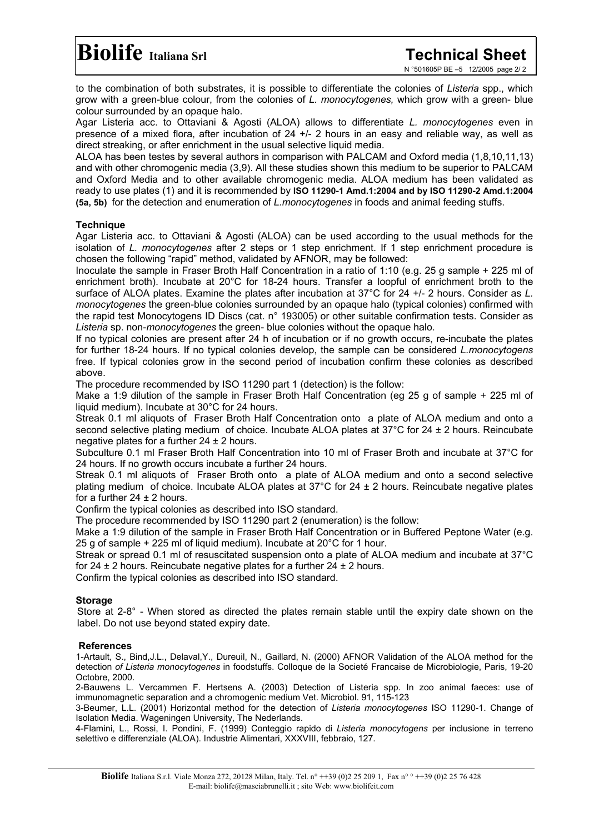to the combination of both substrates, it is possible to differentiate the colonies of *Listeria* spp., which grow with a green-blue colour, from the colonies of *L. monocytogenes,* which grow with a green- blue colour surrounded by an opaque halo.

Agar Listeria acc. to Ottaviani & Agosti (ALOA) allows to differentiate *L. monocytogenes* even in presence of a mixed flora, after incubation of 24 +/- 2 hours in an easy and reliable way, as well as direct streaking, or after enrichment in the usual selective liquid media.

ALOA has been testes by several authors in comparison with PALCAM and Oxford media (1,8,10,11,13) and with other chromogenic media (3,9). All these studies shown this medium to be superior to PALCAM and Oxford Media and to other available chromogenic media. ALOA medium has been validated as ready to use plates (1) and it is recommended by **ISO 11290-1 Amd.1:2004 and by ISO 11290-2 Amd.1:2004 (5a, 5b)** for the detection and enumeration of *L.monocytogenes* in foods and animal feeding stuffs.

## **Technique**

Agar Listeria acc. to Ottaviani & Agosti (ALOA) can be used according to the usual methods for the isolation of *L. monocytogenes* after 2 steps or 1 step enrichment. If 1 step enrichment procedure is chosen the following "rapid" method, validated by AFNOR, may be followed:

Inoculate the sample in Fraser Broth Half Concentration in a ratio of 1:10 (e.g. 25 g sample + 225 ml of enrichment broth). Incubate at 20°C for 18-24 hours. Transfer a loopful of enrichment broth to the surface of ALOA plates. Examine the plates after incubation at 37°C for 24 +/- 2 hours. Consider as *L. monocytogenes* the green-blue colonies surrounded by an opaque halo (typical colonies) confirmed with the rapid test Monocytogens ID Discs (cat. n° 193005) or other suitable confirmation tests. Consider as *Listeria* sp. non-*monocytogenes* the green- blue colonies without the opaque halo.

If no typical colonies are present after 24 h of incubation or if no growth occurs, re-incubate the plates for further 18-24 hours. If no typical colonies develop, the sample can be considered *L.monocytogens* free. If typical colonies grow in the second period of incubation confirm these colonies as described above.

The procedure recommended by ISO 11290 part 1 (detection) is the follow:

Make a 1:9 dilution of the sample in Fraser Broth Half Concentration (eg 25 g of sample + 225 ml of liquid medium). Incubate at 30°C for 24 hours.

Streak 0.1 ml aliquots of Fraser Broth Half Concentration onto a plate of ALOA medium and onto a second selective plating medium of choice. Incubate ALOA plates at 37°C for 24 ± 2 hours. Reincubate negative plates for a further  $24 \pm 2$  hours.

Subculture 0.1 ml Fraser Broth Half Concentration into 10 ml of Fraser Broth and incubate at 37°C for 24 hours. If no growth occurs incubate a further 24 hours.

Streak 0.1 ml aliquots of Fraser Broth onto a plate of ALOA medium and onto a second selective plating medium of choice. Incubate ALOA plates at  $37^{\circ}$ C for  $24 \pm 2$  hours. Reincubate negative plates for a further  $24 \pm 2$  hours.

Confirm the typical colonies as described into ISO standard.

The procedure recommended by ISO 11290 part 2 (enumeration) is the follow:

Make a 1:9 dilution of the sample in Fraser Broth Half Concentration or in Buffered Peptone Water (e.g. 25 g of sample + 225 ml of liquid medium). Incubate at 20°C for 1 hour.

Streak or spread 0.1 ml of resuscitated suspension onto a plate of ALOA medium and incubate at 37°C for 24  $\pm$  2 hours. Reincubate negative plates for a further 24  $\pm$  2 hours.

Confirm the typical colonies as described into ISO standard.

# **Storage**

Store at 2-8° - When stored as directed the plates remain stable until the expiry date shown on the label. Do not use beyond stated expiry date.

## **References**

1-Artault, S., Bind,J.L., Delaval,Y., Dureuil, N., Gaillard, N. (2000) AFNOR Validation of the ALOA method for the detection *of Listeria monocytogenes* in foodstuffs. Colloque de la Societé Francaise de Microbiologie, Paris, 19-20 Octobre, 2000.

2-Bauwens L. Vercammen F. Hertsens A. (2003) Detection of Listeria spp. In zoo animal faeces: use of immunomagnetic separation and a chromogenic medium Vet. Microbiol. 91, 115-123

3-Beumer, L.L. (2001) Horizontal method for the detection of *Listeria monocytogenes* ISO 11290-1. Change of Isolation Media. Wageningen University, The Nederlands.

4-Flamini, L., Rossi, I. Pondini, F. (1999) Conteggio rapido di *Listeria monocytogens* per inclusione in terreno selettivo e differenziale (ALOA). Industrie Alimentari, XXXVIII, febbraio, 127.